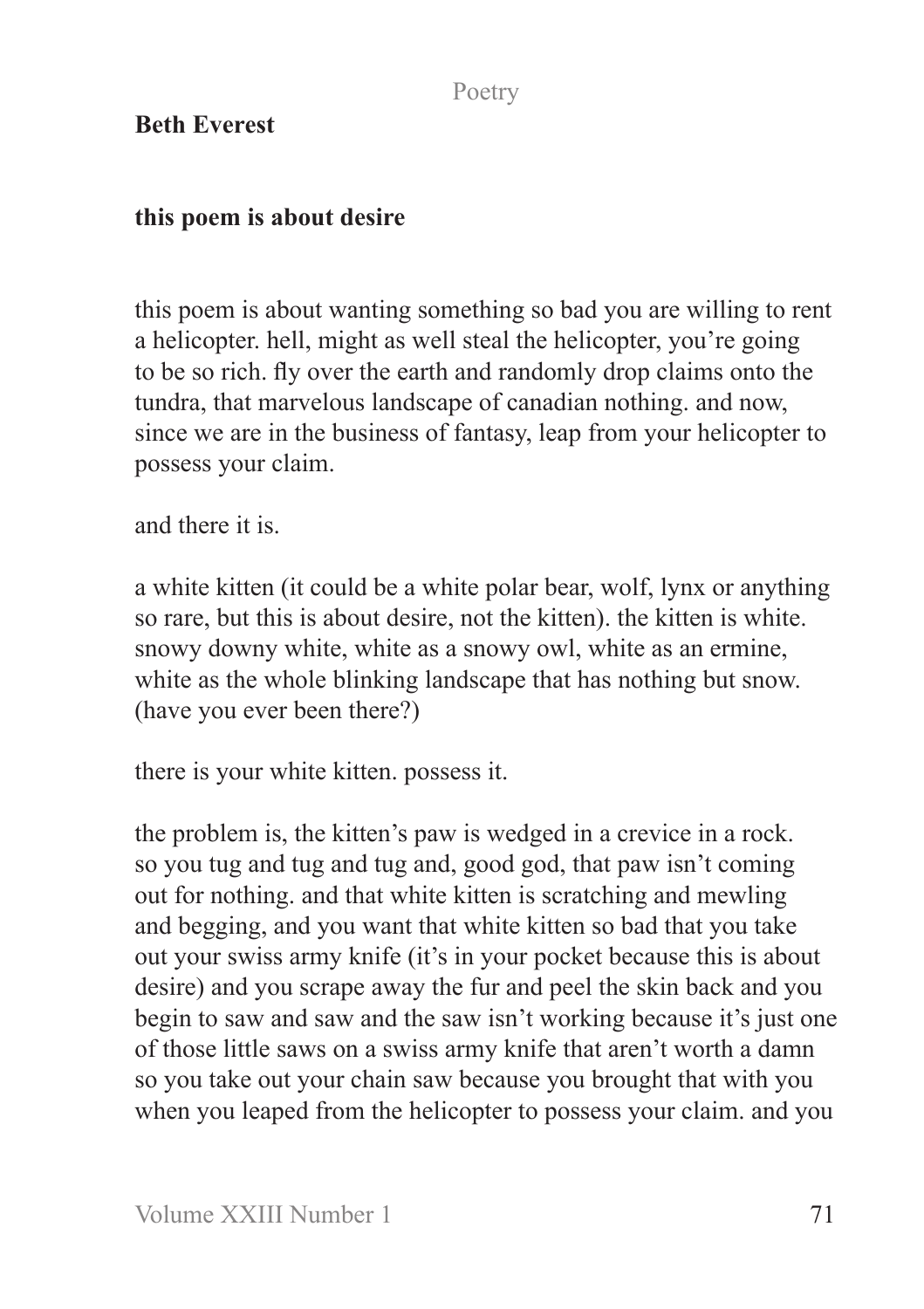## **Beth Everest**

## **this poem is about desire**

this poem is about wanting something so bad you are willing to rent a helicopter. hell, might as well steal the helicopter, you're going to be so rich. fly over the earth and randomly drop claims onto the tundra, that marvelous landscape of canadian nothing. and now, since we are in the business of fantasy, leap from your helicopter to possess your claim.

and there it is.

a white kitten (it could be a white polar bear, wolf, lynx or anything so rare, but this is about desire, not the kitten). the kitten is white. snowy downy white, white as a snowy owl, white as an ermine, white as the whole blinking landscape that has nothing but snow. (have you ever been there?)

there is your white kitten. possess it.

the problem is, the kitten's paw is wedged in a crevice in a rock. so you tug and tug and tug and, good god, that paw isn't coming out for nothing. and that white kitten is scratching and mewling and begging, and you want that white kitten so bad that you take out your swiss army knife (it's in your pocket because this is about desire) and you scrape away the fur and peel the skin back and you begin to saw and saw and the saw isn't working because it's just one of those little saws on a swiss army knife that aren't worth a damn so you take out your chain saw because you brought that with you when you leaped from the helicopter to possess your claim. and you